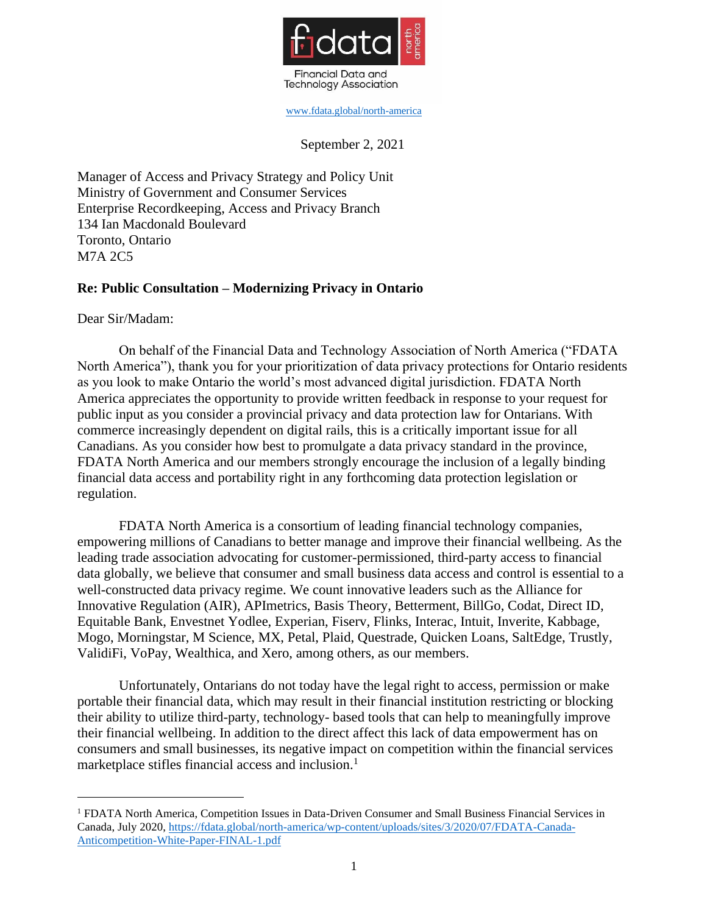

[www.fdata.global/north-america](http://www.fdata.global/north-america)

September 2, 2021

Manager of Access and Privacy Strategy and Policy Unit Ministry of Government and Consumer Services Enterprise Recordkeeping, Access and Privacy Branch 134 Ian Macdonald Boulevard Toronto, Ontario M7A 2C5

## **Re: Public Consultation – Modernizing Privacy in Ontario**

Dear Sir/Madam:

On behalf of the Financial Data and Technology Association of North America ("FDATA North America"), thank you for your prioritization of data privacy protections for Ontario residents as you look to make Ontario the world's most advanced digital jurisdiction. FDATA North America appreciates the opportunity to provide written feedback in response to your request for public input as you consider a provincial privacy and data protection law for Ontarians. With commerce increasingly dependent on digital rails, this is a critically important issue for all Canadians. As you consider how best to promulgate a data privacy standard in the province, FDATA North America and our members strongly encourage the inclusion of a legally binding financial data access and portability right in any forthcoming data protection legislation or regulation.

FDATA North America is a consortium of leading financial technology companies, empowering millions of Canadians to better manage and improve their financial wellbeing. As the leading trade association advocating for customer-permissioned, third-party access to financial data globally, we believe that consumer and small business data access and control is essential to a well-constructed data privacy regime. We count innovative leaders such as the Alliance for Innovative Regulation (AIR), APImetrics, Basis Theory, Betterment, BillGo, Codat, Direct ID, Equitable Bank, Envestnet Yodlee, Experian, Fiserv, Flinks, Interac, Intuit, Inverite, Kabbage, Mogo, Morningstar, M Science, MX, Petal, Plaid, Questrade, Quicken Loans, SaltEdge, Trustly, ValidiFi, VoPay, Wealthica, and Xero, among others, as our members.

Unfortunately, Ontarians do not today have the legal right to access, permission or make portable their financial data, which may result in their financial institution restricting or blocking their ability to utilize third-party, technology- based tools that can help to meaningfully improve their financial wellbeing. In addition to the direct affect this lack of data empowerment has on consumers and small businesses, its negative impact on competition within the financial services marketplace stifles financial access and inclusion. 1

<sup>&</sup>lt;sup>1</sup> FDATA North America, Competition Issues in Data-Driven Consumer and Small Business Financial Services in Canada, July 2020, https://fdata.global/north-america/wp-content/uploads/sites/3/2020/07/FDATA-Canada-Anticompetition-White-Paper-FINAL-1.pdf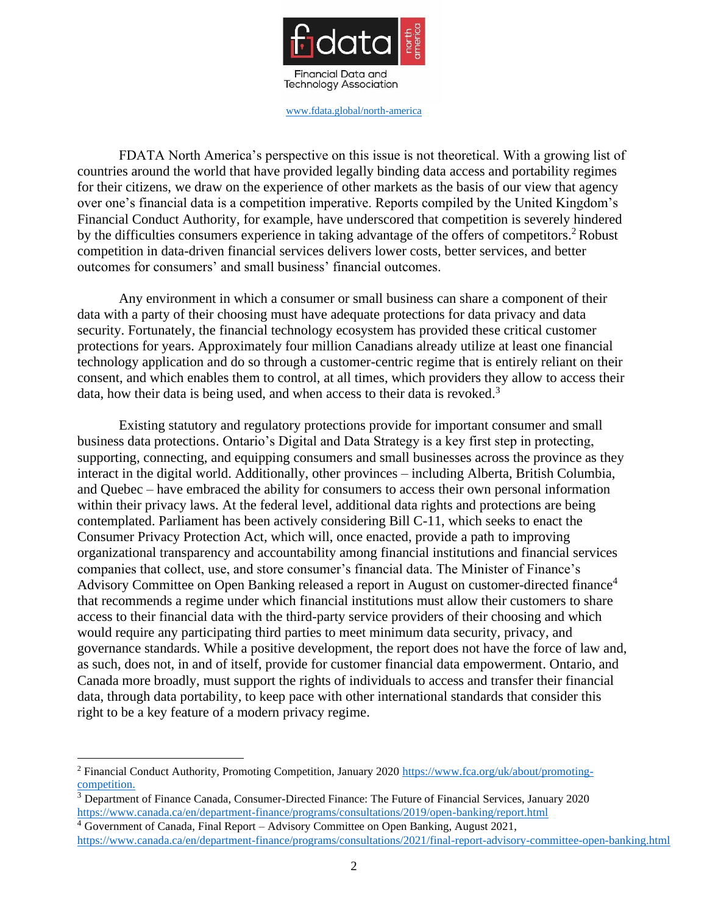

[www.fdata.global/north-america](http://www.fdata.global/north-america)

FDATA North America's perspective on this issue is not theoretical. With a growing list of countries around the world that have provided legally binding data access and portability regimes for their citizens, we draw on the experience of other markets as the basis of our view that agency over one's financial data is a competition imperative. Reports compiled by the United Kingdom's Financial Conduct Authority, for example, have underscored that competition is severely hindered by the difficulties consumers experience in taking advantage of the offers of competitors.<sup>2</sup> Robust competition in data-driven financial services delivers lower costs, better services, and better outcomes for consumers' and small business' financial outcomes.

Any environment in which a consumer or small business can share a component of their data with a party of their choosing must have adequate protections for data privacy and data security. Fortunately, the financial technology ecosystem has provided these critical customer protections for years. Approximately four million Canadians already utilize at least one financial technology application and do so through a customer-centric regime that is entirely reliant on their consent, and which enables them to control, at all times, which providers they allow to access their data, how their data is being used, and when access to their data is revoked.<sup>3</sup>

Existing statutory and regulatory protections provide for important consumer and small business data protections. Ontario's Digital and Data Strategy is a key first step in protecting, supporting, connecting, and equipping consumers and small businesses across the province as they interact in the digital world. Additionally, other provinces – including Alberta, British Columbia, and Quebec – have embraced the ability for consumers to access their own personal information within their privacy laws. At the federal level, additional data rights and protections are being contemplated. Parliament has been actively considering Bill C-11, which seeks to enact the Consumer Privacy Protection Act, which will, once enacted, provide a path to improving organizational transparency and accountability among financial institutions and financial services companies that collect, use, and store consumer's financial data. The Minister of Finance's Advisory Committee on Open Banking released a report in August on customer-directed finance<sup>4</sup> that recommends a regime under which financial institutions must allow their customers to share access to their financial data with the third-party service providers of their choosing and which would require any participating third parties to meet minimum data security, privacy, and governance standards. While a positive development, the report does not have the force of law and, as such, does not, in and of itself, provide for customer financial data empowerment. Ontario, and Canada more broadly, must support the rights of individuals to access and transfer their financial data, through data portability, to keep pace with other international standards that consider this right to be a key feature of a modern privacy regime.

<sup>2</sup> Financial Conduct Authority, Promoting Competition, January 2020 https:/[/www.fca.org/uk/about/promoting](http://www.fca.org/uk/about/promoting-)competition.

 $3$  Department of Finance Canada, Consumer-Directed Finance: The Future of Financial Services, January 2020 https:/[/www.canada.ca/en/department-finance/programs/consultations/2019/open-banking/report.html](http://www.canada.ca/en/department-finance/programs/consultations/2019/open-banking/report.html)

 $4$  Government of Canada, Final Report – Advisory Committee on Open Banking, August 2021, https:/[/www.canada.ca/en/department-finance/programs/consultations/2021/final-report-advisory-committee-open-b](http://www.canada.ca/en/department-finance/programs/consultations/2021/final-report-advisory-committee-open-)anking.html